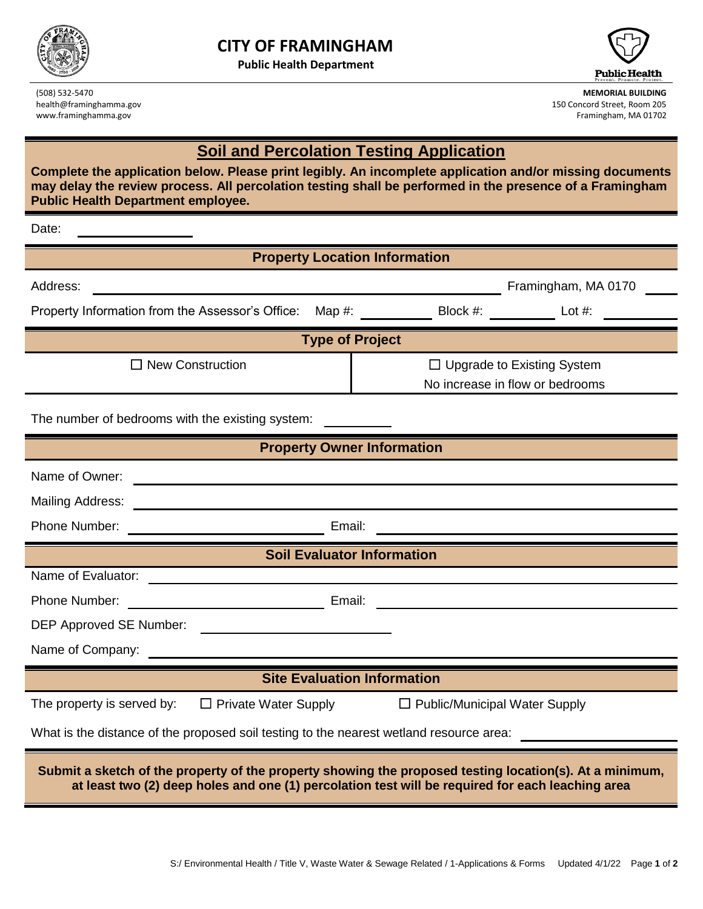

**Public Health Department**



(508) 532-5470 **MEMORIAL BUILDING** health@framinghamma.gov 150 Concord Street, Room 205 www.framinghamma.gov **Framinghamma.gov** Framingham, MA 01702

## **Soil and Percolation Testing Application**

**Complete the application below. Please print legibly. An incomplete application and/or missing documents may delay the review process. All percolation testing shall be performed in the presence of a Framingham Public Health Department employee.** 

Date:

| <b>Property Location Information</b>                                                                                                                                                                                                                                   |                                                                 |  |
|------------------------------------------------------------------------------------------------------------------------------------------------------------------------------------------------------------------------------------------------------------------------|-----------------------------------------------------------------|--|
| Address:<br><u> 1989 - Johann Barn, amerikan besteman besteman besteman besteman besteman besteman besteman besteman bestema</u>                                                                                                                                       | Framingham, MA 0170                                             |  |
| Property Information from the Assessor's Office: Map #: _____________Block #: __________ Lot #:                                                                                                                                                                        |                                                                 |  |
| <b>Type of Project</b>                                                                                                                                                                                                                                                 |                                                                 |  |
| $\Box$ New Construction                                                                                                                                                                                                                                                | □ Upgrade to Existing System<br>No increase in flow or bedrooms |  |
| The number of bedrooms with the existing system:                                                                                                                                                                                                                       |                                                                 |  |
| <b>Property Owner Information</b>                                                                                                                                                                                                                                      |                                                                 |  |
| Name of Owner:                                                                                                                                                                                                                                                         |                                                                 |  |
| <b>Mailing Address:</b>                                                                                                                                                                                                                                                |                                                                 |  |
| Phone Number:<br><u> 1989 - Johann Barbara, martin a</u>                                                                                                                                                                                                               | Email:                                                          |  |
| <b>Soil Evaluator Information</b>                                                                                                                                                                                                                                      |                                                                 |  |
|                                                                                                                                                                                                                                                                        |                                                                 |  |
| Phone Number:<br>Email:<br><u> 1980 - Andrea Andrew Maria (b. 1980)</u>                                                                                                                                                                                                |                                                                 |  |
| <b>DEP Approved SE Number:</b><br><u>and the state of the state of the state of the state of the state of the state of the state of the state of the state of the state of the state of the state of the state of the state of the state of the state of the state</u> |                                                                 |  |
| Name of Company:<br><u> 1980 - Johann Barbara, martxa alemaniar a</u>                                                                                                                                                                                                  |                                                                 |  |
| <b>Site Evaluation Information</b>                                                                                                                                                                                                                                     |                                                                 |  |
| The property is served by:<br>$\Box$ Private Water Supply                                                                                                                                                                                                              | $\Box$ Public/Municipal Water Supply                            |  |

What is the distance of the proposed soil testing to the nearest wetland resource area:

**Submit a sketch of the property of the property showing the proposed testing location(s). At a minimum, at least two (2) deep holes and one (1) percolation test will be required for each leaching area**